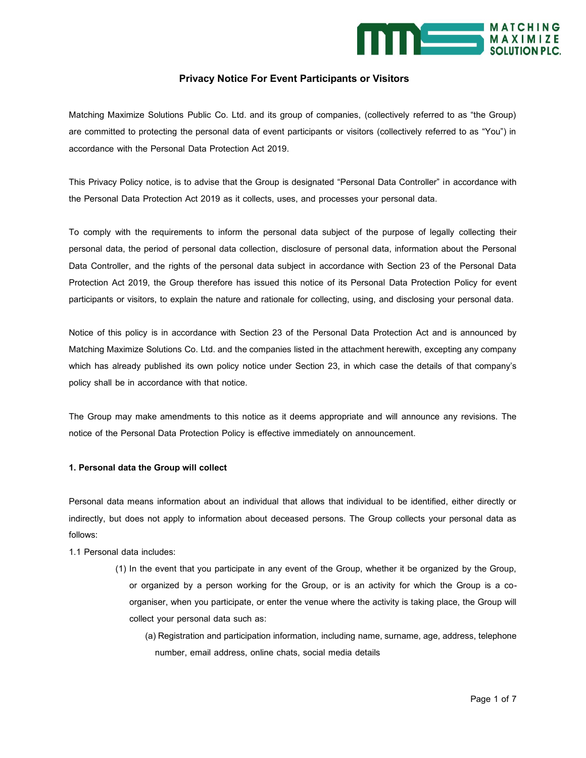

# **Privacy Notice For Event Participants or Visitors**

Matching Maximize Solutions Public Co. Ltd. and its group of companies, (collectively referred to as "the Group) are committed to protecting the personal data of event participants or visitors (collectively referred to as "You") in accordance with the Personal Data Protection Act 2019.

This Privacy Policy notice, is to advise that the Group is designated "Personal Data Controller" in accordance with the Personal Data Protection Act 2019 as it collects, uses, and processes your personal data.

To comply with the requirements to inform the personal data subject of the purpose of legally collecting their personal data, the period of personal data collection, disclosure of personal data, information about the Personal Data Controller, and the rights of the personal data subject in accordance with Section 23 of the Personal Data Protection Act 2019, the Group therefore has issued this notice of its Personal Data Protection Policy for event participants or visitors, to explain the nature and rationale for collecting, using, and disclosing your personal data.

Notice of this policy is in accordance with Section 23 of the Personal Data Protection Act and is announced by Matching Maximize Solutions Co. Ltd. and the companies listed in the attachment herewith, excepting any company which has already published its own policy notice under Section 23, in which case the details of that company's policy shall be in accordance with that notice.

The Group may make amendments to this notice as it deems appropriate and will announce any revisions. The notice of the Personal Data Protection Policy is effective immediately on announcement.

# **1. Personal data the Group will collect**

Personal data means information about an individual that allows that individual to be identified, either directly or indirectly, but does not apply to information about deceased persons. The Group collects your personal data as follows:

- 1.1 Personal data includes:
	- (1) In the event that you participate in any event of the Group, whether it be organized by the Group, or organized by a person working for the Group, or is an activity for which the Group is a coorganiser, when you participate, or enter the venue where the activity is taking place, the Group will collect your personal data such as:
		- (a) Registration and participation information, including name, surname, age, address, telephone number, email address, online chats, social media details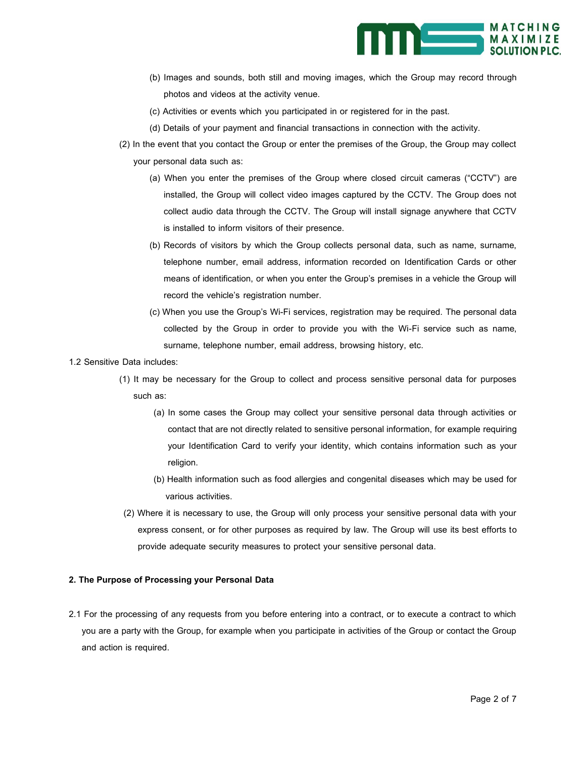

- (b) Images and sounds, both still and moving images, which the Group may record through photos and videos at the activity venue.
- (c) Activities or events which you participated in or registered for in the past.
- (d) Details of your payment and financial transactions in connection with the activity.
- (2) In the event that you contact the Group or enter the premises of the Group, the Group may collect your personal data such as:
	- (a) When you enter the premises of the Group where closed circuit cameras ("CCTV") are installed, the Group will collect video images captured by the CCTV. The Group does not collect audio data through the CCTV. The Group will install signage anywhere that CCTV is installed to inform visitors of their presence.
	- (b) Records of visitors by which the Group collects personal data, such as name, surname, telephone number, email address, information recorded on Identification Cards or other means of identification, or when you enter the Group's premises in a vehicle the Group will record the vehicle's registration number.
	- (c) When you use the Group's Wi-Fi services, registration may be required. The personal data collected by the Group in order to provide you with the Wi-Fi service such as name, surname, telephone number, email address, browsing history, etc.
- 1.2 Sensitive Data includes:
	- (1) It may be necessary for the Group to collect and process sensitive personal data for purposes such as:
		- (a) In some cases the Group may collect your sensitive personal data through activities or contact that are not directly related to sensitive personal information, for example requiring your Identification Card to verify your identity, which contains information such as your religion.
		- (b) Health information such as food allergies and congenital diseases which may be used for various activities.
	- (2) Where it is necessary to use, the Group will only process your sensitive personal data with your express consent, or for other purposes as required by law. The Group will use its best efforts to provide adequate security measures to protect your sensitive personal data.

# **2. The Purpose of Processing your Personal Data**

2.1 For the processing of any requests from you before entering into a contract, or to execute a contract to which you are a party with the Group, for example when you participate in activities of the Group or contact the Group and action is required.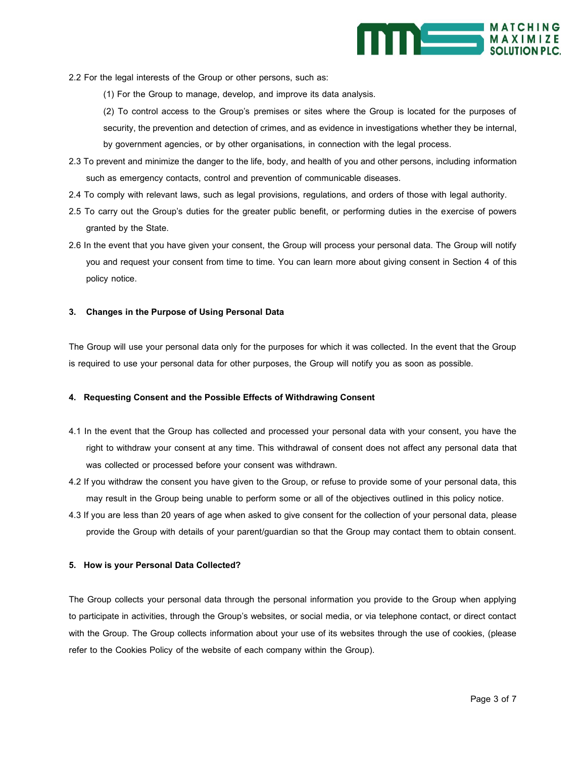

2.2 For the legal interests of the Group or other persons, such as:

(1) For the Group to manage, develop, and improve its data analysis.

(2) To control access to the Group's premises or sites where the Group is located for the purposes of security, the prevention and detection of crimes, and as evidence in investigations whether they be internal, by government agencies, or by other organisations, in connection with the legal process.

- 2.3 To prevent and minimize the danger to the life, body, and health of you and other persons, including information such as emergency contacts, control and prevention of communicable diseases.
- 2.4 To comply with relevant laws, such as legal provisions, regulations, and orders of those with legal authority.
- 2.5 To carry out the Group's duties for the greater public benefit, or performing duties in the exercise of powers granted by the State.
- 2.6 In the event that you have given your consent, the Group will process your personal data. The Group will notify you and request your consent from time to time. You can learn more about giving consent in Section 4 of this policy notice.

### **3. Changes in the Purpose of Using Personal Data**

The Group will use your personal data only for the purposes for which it was collected. In the event that the Group is required to use your personal data for other purposes, the Group will notify you as soon as possible.

## **4. Requesting Consent and the Possible Effects of Withdrawing Consent**

- 4.1 In the event that the Group has collected and processed your personal data with your consent, you have the right to withdraw your consent at any time. This withdrawal of consent does not affect any personal data that was collected or processed before your consent was withdrawn.
- 4.2 If you withdraw the consent you have given to the Group, or refuse to provide some of your personal data, this may result in the Group being unable to perform some or all of the objectives outlined in this policy notice.
- 4.3 If you are less than 20 years of age when asked to give consent for the collection of your personal data, please provide the Group with details of your parent/guardian so that the Group may contact them to obtain consent.

#### **5. How is your Personal Data Collected?**

The Group collects your personal data through the personal information you provide to the Group when applying to participate in activities, through the Group's websites, or social media, or via telephone contact, or direct contact with the Group. The Group collects information about your use of its websites through the use of cookies, (please refer to the Cookies Policy of the website of each company within the Group).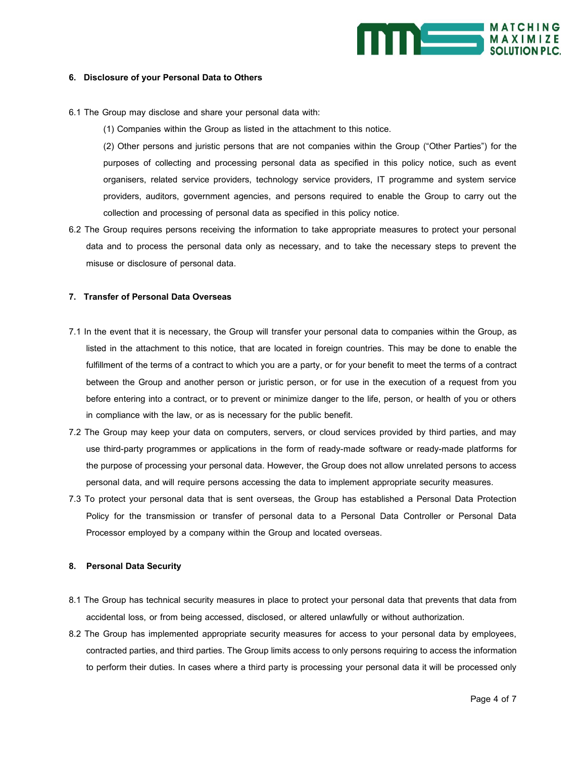

# **6. Disclosure of your Personal Data to Others**

6.1 The Group may disclose and share your personal data with:

(1) Companies within the Group as listed in the attachment to this notice.

(2) Other persons and juristic persons that are not companies within the Group ("Other Parties") for the purposes of collecting and processing personal data as specified in this policy notice, such as event organisers, related service providers, technology service providers, IT programme and system service providers, auditors, government agencies, and persons required to enable the Group to carry out the collection and processing of personal data as specified in this policy notice.

6.2 The Group requires persons receiving the information to take appropriate measures to protect your personal data and to process the personal data only as necessary, and to take the necessary steps to prevent the misuse or disclosure of personal data.

# **7. Transfer of Personal Data Overseas**

- 7.1 In the event that it is necessary, the Group will transfer your personal data to companies within the Group, as listed in the attachment to this notice, that are located in foreign countries. This may be done to enable the fulfillment of the terms of a contract to which you are a party, or for your benefit to meet the terms of a contract between the Group and another person or juristic person, or for use in the execution of a request from you before entering into a contract, or to prevent or minimize danger to the life, person, or health of you or others in compliance with the law, or as is necessary for the public benefit.
- 7.2 The Group may keep your data on computers, servers, or cloud services provided by third parties, and may use third-party programmes or applications in the form of ready-made software or ready-made platforms for the purpose of processing your personal data. However, the Group does not allow unrelated persons to access personal data, and will require persons accessing the data to implement appropriate security measures.
- 7.3 To protect your personal data that is sent overseas, the Group has established a Personal Data Protection Policy for the transmission or transfer of personal data to a Personal Data Controller or Personal Data Processor employed by a company within the Group and located overseas.

#### **8. Personal Data Security**

- 8.1 The Group has technical security measures in place to protect your personal data that prevents that data from accidental loss, or from being accessed, disclosed, or altered unlawfully or without authorization.
- 8.2 The Group has implemented appropriate security measures for access to your personal data by employees, contracted parties, and third parties. The Group limits access to only persons requiring to access the information to perform their duties. In cases where a third party is processing your personal data it will be processed only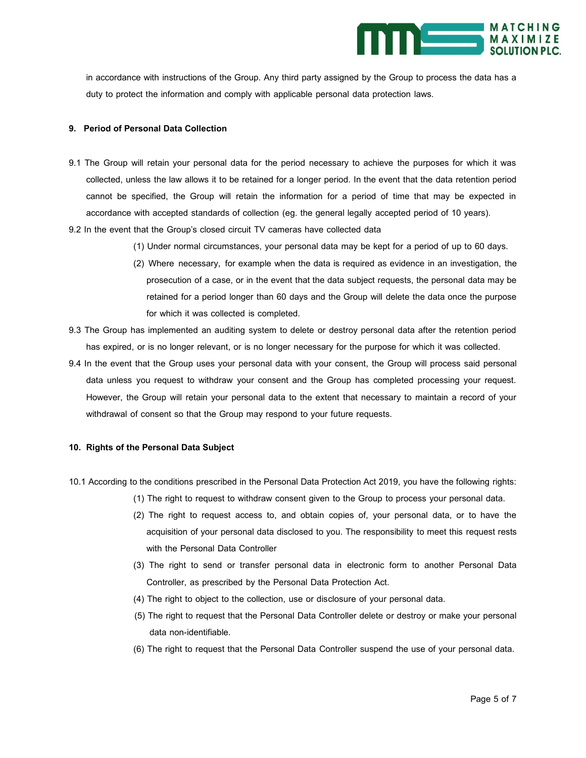

in accordance with instructions of the Group. Any third party assigned by the Group to process the data has a duty to protect the information and comply with applicable personal data protection laws.

# **9. Period of Personal Data Collection**

- 9.1 The Group will retain your personal data for the period necessary to achieve the purposes for which it was collected, unless the law allows it to be retained for a longer period. In the event that the data retention period cannot be specified, the Group will retain the information for a period of time that may be expected in accordance with accepted standards of collection (eg. the general legally accepted period of 10 years).
- 9.2 In the event that the Group's closed circuit TV cameras have collected data
	- (1) Under normal circumstances, your personal data may be kept for a period of up to 60 days.
	- (2) Where necessary, for example when the data is required as evidence in an investigation, the prosecution of a case, or in the event that the data subject requests, the personal data may be retained for a period longer than 60 days and the Group will delete the data once the purpose for which it was collected is completed.
- 9.3 The Group has implemented an auditing system to delete or destroy personal data after the retention period has expired, or is no longer relevant, or is no longer necessary for the purpose for which it was collected.
- 9.4 In the event that the Group uses your personal data with your consent, the Group will process said personal data unless you request to withdraw your consent and the Group has completed processing your request. However, the Group will retain your personal data to the extent that necessary to maintain a record of your withdrawal of consent so that the Group may respond to your future requests.

# **10. Rights of the Personal Data Subject**

- 10.1 According to the conditions prescribed in the Personal Data Protection Act 2019, you have the following rights:
	- (1) The right to request to withdraw consent given to the Group to process your personal data.
	- (2) The right to request access to, and obtain copies of, your personal data, or to have the acquisition of your personal data disclosed to you. The responsibility to meet this request rests with the Personal Data Controller
	- (3) The right to send or transfer personal data in electronic form to another Personal Data Controller, as prescribed by the Personal Data Protection Act.
	- (4) The right to object to the collection, use or disclosure of your personal data.
	- (5) The right to request that the Personal Data Controller delete or destroy or make your personal data non-identifiable.
	- (6) The right to request that the Personal Data Controller suspend the use of your personal data.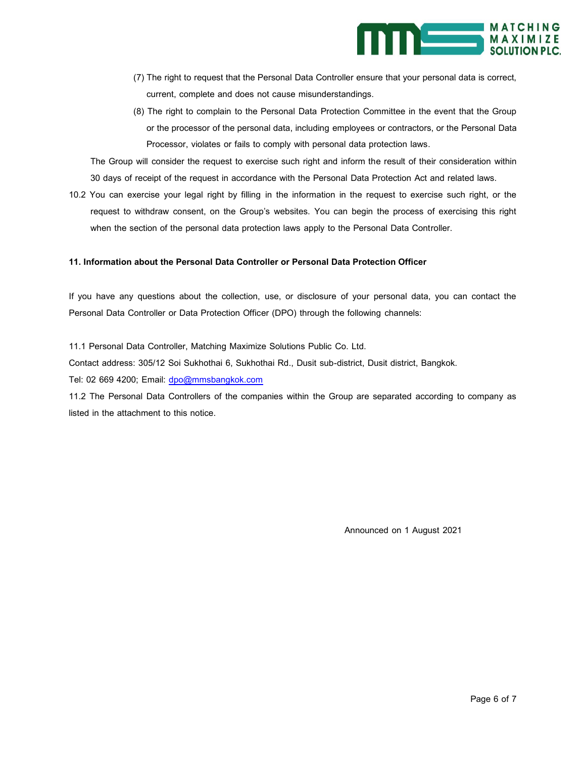

- (7) The right to request that the Personal Data Controller ensure that your personal data is correct, current, complete and does not cause misunderstandings.
- (8) The right to complain to the Personal Data Protection Committee in the event that the Group or the processor of the personal data, including employees or contractors, or the Personal Data Processor, violates or fails to comply with personal data protection laws.

The Group will consider the request to exercise such right and inform the result of their consideration within 30 days of receipt of the request in accordance with the Personal Data Protection Act and related laws.

10.2 You can exercise your legal right by filling in the information in the request to exercise such right, or the request to withdraw consent, on the Group's websites. You can begin the process of exercising this right when the section of the personal data protection laws apply to the Personal Data Controller.

## **11. Information about the Personal Data Controller or Personal Data Protection Officer**

If you have any questions about the collection, use, or disclosure of your personal data, you can contact the Personal Data Controller or Data Protection Officer (DPO) through the following channels:

11.1 Personal Data Controller, Matching Maximize Solutions Public Co. Ltd.

Contact address: 305/12 Soi Sukhothai 6, Sukhothai Rd., Dusit sub-district, Dusit district, Bangkok.

Tel: 02 669 4200; Email: dpo@mmsbangkok.com

11.2 The Personal Data Controllers of the companies within the Group are separated according to company as listed in the attachment to this notice.

Announced on 1 August 2021